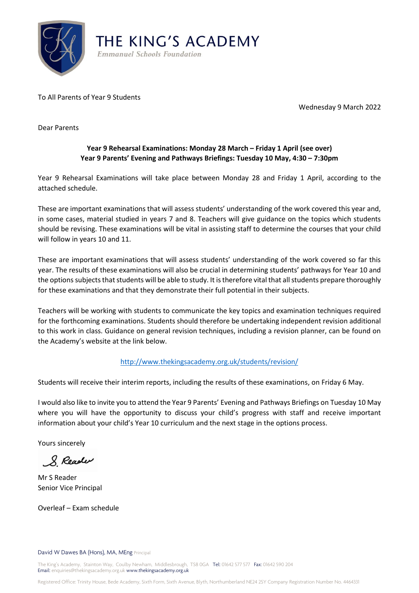

To All Parents of Year 9 Students

Wednesday 9 March 2022

Dear Parents

## **Year 9 Rehearsal Examinations: Monday 28 March – Friday 1 April (see over) Year 9 Parents' Evening and Pathways Briefings: Tuesday 10 May, 4:30 – 7:30pm**

Year 9 Rehearsal Examinations will take place between Monday 28 and Friday 1 April, according to the attached schedule.

These are important examinations that will assess students' understanding of the work covered this year and, in some cases, material studied in years 7 and 8. Teachers will give guidance on the topics which students should be revising. These examinations will be vital in assisting staff to determine the courses that your child will follow in years 10 and 11.

These are important examinations that will assess students' understanding of the work covered so far this year. The results of these examinations will also be crucial in determining students' pathways for Year 10 and the options subjects that students will be able to study. It is therefore vital that all students prepare thoroughly for these examinations and that they demonstrate their full potential in their subjects.

Teachers will be working with students to communicate the key topics and examination techniques required for the forthcoming examinations. Students should therefore be undertaking independent revision additional to this work in class. Guidance on general revision techniques, including a revision planner, can be found on the Academy's website at the link below.

## <http://www.thekingsacademy.org.uk/students/revision/>

Students will receive their interim reports, including the results of these examinations, on Friday 6 May.

I would also like to invite you to attend the Year 9 Parents' Evening and Pathways Briefings on Tuesday 10 May where you will have the opportunity to discuss your child's progress with staff and receive important information about your child's Year 10 curriculum and the next stage in the options process.

Yours sincerely

8 Reader

Mr S Reader Senior Vice Principal

Overleaf – Exam schedule

David W Dawes BA (Hons), MA, MEng Principal

The King's Academy, Stainton Way, Coulby Newham, Middlesbrough, TS8 0GA Tel: 01642 577 577 Fax: 01642 590 204 Email: enquiries@thekingsacademy.org.uk www.thekingsacademy.org.uk